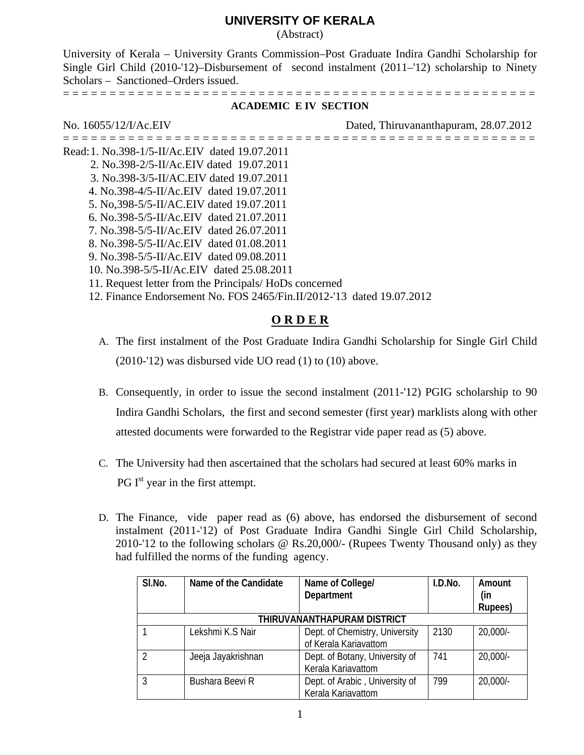# **UNIVERSITY OF KERALA**

### (Abstract)

University of Kerala – University Grants Commission–Post Graduate Indira Gandhi Scholarship for Single Girl Child (2010-'12)–Disbursement of second instalment (2011–'12) scholarship to Ninety Scholars – Sanctioned–Orders issued.

= = = = = = = = = = = = = = = = = = = = = = = = = = = = = = = = = = = = = = = = = = = = = = = = = = =

### **ACADEMIC E IV SECTION**

## No. 16055/12/I/Ac.EIV Dated, Thiruvananthapuram, 28.07.2012

- = = = = = = = = = = = = = = = = = = = = = = = = = = = = = = = = = = = = = = = = = = = = = = = = = = = Read: 1. No.398-1/5-II/Ac.EIV dated 19.07.2011 2. No.398-2/5-II/Ac.EIV dated 19.07.2011 3. No.398-3/5-II/AC.EIV dated 19.07.2011 4. No.398-4/5-II/Ac.EIV dated 19.07.2011 5. No,398-5/5-II/AC.EIV dated 19.07.2011 6. No.398-5/5-II/Ac.EIV dated 21.07.2011 7. No.398-5/5-II/Ac.EIV dated 26.07.2011 8. No.398-5/5-II/Ac.EIV dated 01.08.2011 9. No.398-5/5-II/Ac.EIV dated 09.08.2011 10. No.398-5/5-II/Ac.EIV dated 25.08.2011 11. Request letter from the Principals/ HoDs concerned
	- 12. Finance Endorsement No. FOS 2465/Fin.II/2012-'13 dated 19.07.2012

# **O R D E R**

- A. The first instalment of the Post Graduate Indira Gandhi Scholarship for Single Girl Child (2010-'12) was disbursed vide UO read (1) to (10) above.
- B. Consequently, in order to issue the second instalment (2011-'12) PGIG scholarship to 90 Indira Gandhi Scholars, the first and second semester (first year) marklists along with other attested documents were forwarded to the Registrar vide paper read as (5) above.
- C. The University had then ascertained that the scholars had secured at least 60% marks in  $PG I<sup>st</sup>$  year in the first attempt.
- D. The Finance, vide paper read as (6) above, has endorsed the disbursement of second instalment (2011-'12) of Post Graduate Indira Gandhi Single Girl Child Scholarship, 2010-'12 to the following scholars @ Rs.20,000/- (Rupees Twenty Thousand only) as they had fulfilled the norms of the funding agency.

| SI.No.                      | Name of the Candidate | Name of College/<br>Department                          | I.D.No. | Amount<br>(in |  |
|-----------------------------|-----------------------|---------------------------------------------------------|---------|---------------|--|
|                             |                       |                                                         |         | Rupees)       |  |
| THIRUVANANTHAPURAM DISTRICT |                       |                                                         |         |               |  |
|                             | Lekshmi K.S Nair      | Dept. of Chemistry, University<br>of Kerala Kariavattom | 2130    | $20,000/-$    |  |
| $\mathcal{P}$               | Jeeja Jayakrishnan    | Dept. of Botany, University of<br>Kerala Kariavattom    | 741     | $20,000/-$    |  |
| 3                           | Bushara Beevi R       | Dept. of Arabic, University of<br>Kerala Kariavattom    | 799     | $20,000/-$    |  |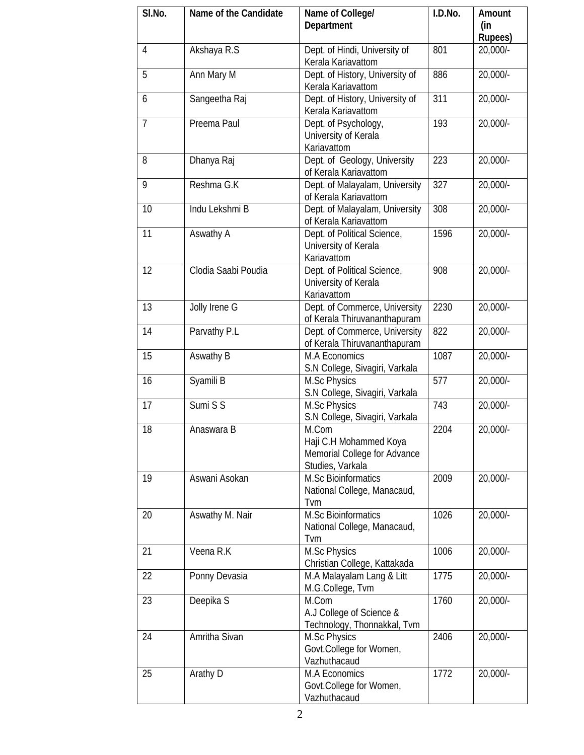| SI.No.         | Name of the Candidate | Name of College/                | I.D.No. | Amount         |
|----------------|-----------------------|---------------------------------|---------|----------------|
|                |                       | Department                      |         | (in            |
|                |                       |                                 |         | <b>Rupees)</b> |
| $\overline{4}$ | Akshaya R.S           | Dept. of Hindi, University of   | 801     | 20,000/-       |
|                |                       | Kerala Kariavattom              |         |                |
| 5              | Ann Mary M            | Dept. of History, University of | 886     | 20,000/-       |
|                |                       | Kerala Kariavattom              |         |                |
| 6              | Sangeetha Raj         | Dept. of History, University of | 311     | 20,000/-       |
|                |                       | Kerala Kariavattom              |         |                |
| $\overline{7}$ | Preema Paul           | Dept. of Psychology,            | 193     | 20,000/-       |
|                |                       | University of Kerala            |         |                |
|                |                       | Kariavattom                     |         |                |
| 8              | Dhanya Raj            | Dept. of Geology, University    | 223     | 20,000/-       |
|                |                       | of Kerala Kariavattom           |         |                |
| 9              | Reshma G.K            | Dept. of Malayalam, University  | 327     | 20,000/-       |
|                |                       | of Kerala Kariavattom           |         |                |
| 10             | Indu Lekshmi B        | Dept. of Malayalam, University  | 308     | 20,000/-       |
|                |                       | of Kerala Kariavattom           |         |                |
| 11             | Aswathy A             | Dept. of Political Science,     | 1596    | 20,000/-       |
|                |                       | University of Kerala            |         |                |
|                |                       | Kariavattom                     |         |                |
| 12             | Clodia Saabi Poudia   | Dept. of Political Science,     | 908     | 20,000/-       |
|                |                       | University of Kerala            |         |                |
|                |                       | Kariavattom                     |         |                |
| 13             | Jolly Irene G         | Dept. of Commerce, University   | 2230    | 20,000/-       |
|                |                       | of Kerala Thiruvananthapuram    |         |                |
| 14             | Parvathy P.L          | Dept. of Commerce, University   | 822     | 20,000/-       |
|                |                       | of Kerala Thiruvananthapuram    |         |                |
| 15             | Aswathy B             | M.A Economics                   | 1087    | 20,000/-       |
|                |                       | S.N College, Sivagiri, Varkala  |         |                |
| 16             | Syamili B             | <b>M.Sc Physics</b>             | 577     | 20,000/-       |
|                |                       | S.N College, Sivagiri, Varkala  |         |                |
| 17             | Sumi S S              | M.Sc Physics                    | 743     | 20,000/-       |
|                |                       | S.N College, Sivagiri, Varkala  |         |                |
| 18             | Anaswara B            | M.Com                           | 2204    | 20,000/-       |
|                |                       | Haji C.H Mohammed Koya          |         |                |
|                |                       | Memorial College for Advance    |         |                |
|                |                       | Studies, Varkala                |         |                |
| 19             | Aswani Asokan         | <b>M.Sc Bioinformatics</b>      | 2009    | 20,000/-       |
|                |                       | National College, Manacaud,     |         |                |
|                |                       | Tvm                             |         |                |
| 20             | Aswathy M. Nair       | M.Sc Bioinformatics             | 1026    | 20,000/-       |
|                |                       | National College, Manacaud,     |         |                |
|                |                       | Tvm                             |         |                |
| 21             | Veena R.K             | <b>M.Sc Physics</b>             | 1006    | 20,000/-       |
|                |                       | Christian College, Kattakada    |         |                |
| 22             | Ponny Devasia         | M.A Malayalam Lang & Litt       | 1775    | 20,000/-       |
|                |                       | M.G.College, Tvm                |         |                |
| 23             | Deepika <sub>S</sub>  | M.Com                           | 1760    | 20,000/-       |
|                |                       | A.J College of Science &        |         |                |
|                |                       | Technology, Thonnakkal, Tvm     |         |                |
| 24             | Amritha Sivan         | <b>M.Sc Physics</b>             | 2406    | 20,000/-       |
|                |                       | Govt.College for Women,         |         |                |
|                |                       | Vazhuthacaud                    |         |                |
| 25             | Arathy D              | <b>M.A Economics</b>            | 1772    | 20,000/-       |
|                |                       | Govt.College for Women,         |         |                |
|                |                       | Vazhuthacaud                    |         |                |
|                |                       |                                 |         |                |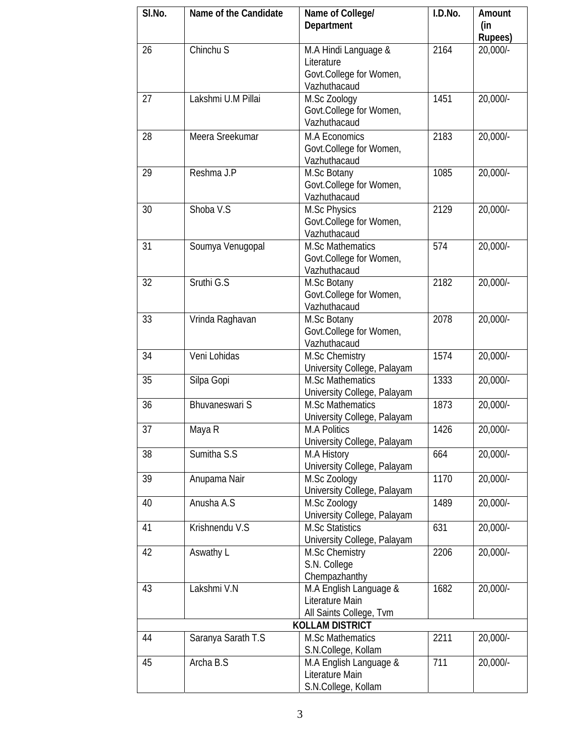| SI.No.                 | Name of the Candidate | Name of College/<br>Department              | I.D.No. | Amount<br>(in  |  |
|------------------------|-----------------------|---------------------------------------------|---------|----------------|--|
|                        |                       |                                             |         | <b>Rupees)</b> |  |
| 26                     | Chinchu S             | M.A Hindi Language &                        | 2164    | 20,000/-       |  |
|                        |                       | Literature                                  |         |                |  |
|                        |                       | Govt.College for Women,                     |         |                |  |
|                        |                       | Vazhuthacaud                                |         |                |  |
| 27                     | Lakshmi U.M Pillai    | M.Sc Zoology                                | 1451    | 20,000/-       |  |
|                        |                       | Govt.College for Women,                     |         |                |  |
|                        |                       | Vazhuthacaud                                |         |                |  |
| 28                     | Meera Sreekumar       | M.A Economics                               | 2183    | 20,000/-       |  |
|                        |                       | Govt.College for Women,                     |         |                |  |
|                        |                       | Vazhuthacaud                                |         |                |  |
| 29                     | Reshma J.P            | M.Sc Botany                                 | 1085    | 20,000/-       |  |
|                        |                       | Govt.College for Women,                     |         |                |  |
|                        |                       | Vazhuthacaud                                |         |                |  |
| 30                     | Shoba V.S             | <b>M.Sc Physics</b>                         | 2129    | 20,000/-       |  |
|                        |                       | Govt.College for Women,                     |         |                |  |
|                        |                       | Vazhuthacaud                                |         |                |  |
| 31                     | Soumya Venugopal      | <b>M.Sc Mathematics</b>                     | 574     | 20,000/-       |  |
|                        |                       | Govt.College for Women,                     |         |                |  |
|                        |                       | Vazhuthacaud                                |         |                |  |
| 32                     | Sruthi G.S            | M.Sc Botany                                 | 2182    | $20,000/-$     |  |
|                        |                       | Govt.College for Women,                     |         |                |  |
|                        |                       | Vazhuthacaud                                |         |                |  |
| 33                     | Vrinda Raghavan       | M.Sc Botany                                 | 2078    | $20,000/-$     |  |
|                        |                       | Govt.College for Women,                     |         |                |  |
|                        |                       | Vazhuthacaud                                |         |                |  |
| 34                     | Veni Lohidas          | M.Sc Chemistry                              | 1574    | 20,000/-       |  |
|                        |                       | University College, Palayam                 |         |                |  |
| 35                     | Silpa Gopi            | <b>M.Sc Mathematics</b>                     | 1333    | 20,000/-       |  |
|                        |                       | University College, Palayam                 |         |                |  |
| 36                     | Bhuvaneswari S        | <b>M.Sc Mathematics</b>                     | 1873    | $20,000/-$     |  |
|                        |                       | University College, Palayam                 |         |                |  |
| 37                     | Maya R                | <b>M.A Politics</b>                         | 1426    | 20,000/-       |  |
|                        |                       | University College, Palayam                 |         |                |  |
| 38                     | Sumitha S.S           | M.A History                                 | 664     | $20,000/-$     |  |
| 39                     | Anupama Nair          | University College, Palayam                 |         |                |  |
|                        |                       | M.Sc Zoology                                | 1170    | 20,000/-       |  |
| 40                     | Anusha A.S            | University College, Palayam<br>M.Sc Zoology | 1489    | $20,000/-$     |  |
|                        |                       | University College, Palayam                 |         |                |  |
| 41                     | Krishnendu V.S        | <b>M.Sc Statistics</b>                      | 631     | 20,000/-       |  |
|                        |                       | University College, Palayam                 |         |                |  |
| 42                     | Aswathy L             | M.Sc Chemistry                              | 2206    | 20,000/-       |  |
|                        |                       | S.N. College                                |         |                |  |
|                        |                       | Chempazhanthy                               |         |                |  |
| 43                     | Lakshmi V.N           | M.A English Language &                      | 1682    | 20,000/-       |  |
|                        |                       | Literature Main                             |         |                |  |
|                        |                       | All Saints College, Tvm                     |         |                |  |
| <b>KOLLAM DISTRICT</b> |                       |                                             |         |                |  |
| 44                     | Saranya Sarath T.S    | <b>M.Sc Mathematics</b>                     | 2211    | 20,000/-       |  |
|                        |                       | S.N.College, Kollam                         |         |                |  |
| 45                     | Archa B.S             | M.A English Language &                      | 711     | 20,000/-       |  |
|                        |                       | Literature Main                             |         |                |  |
|                        |                       | S.N.College, Kollam                         |         |                |  |
|                        |                       |                                             |         |                |  |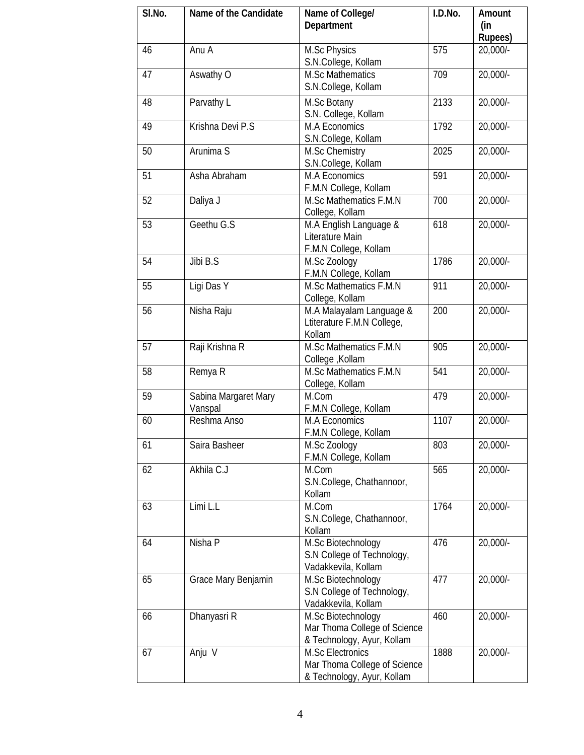| SI.No. | Name of the Candidate           | Name of College/<br>Department                                                        | I.D.No. | Amount<br>(in<br><b>Rupees)</b> |
|--------|---------------------------------|---------------------------------------------------------------------------------------|---------|---------------------------------|
| 46     | Anu A                           | M.Sc Physics<br>S.N.College, Kollam                                                   | 575     | 20,000/-                        |
| 47     | Aswathy O                       | <b>M.Sc Mathematics</b><br>S.N.College, Kollam                                        | 709     | 20,000/-                        |
| 48     | Parvathy L                      | M.Sc Botany<br>S.N. College, Kollam                                                   | 2133    | 20,000/-                        |
| 49     | Krishna Devi P.S                | M.A Economics<br>S.N.College, Kollam                                                  | 1792    | 20,000/-                        |
| 50     | Arunima S                       | M.Sc Chemistry<br>S.N.College, Kollam                                                 | 2025    | 20,000/-                        |
| 51     | Asha Abraham                    | M.A Economics<br>F.M.N College, Kollam                                                | 591     | 20,000/-                        |
| 52     | Daliya J                        | M.Sc Mathematics F.M.N<br>College, Kollam                                             | 700     | 20,000/-                        |
| 53     | Geethu G.S                      | M.A English Language &<br>Literature Main<br>F.M.N College, Kollam                    | 618     | 20,000/-                        |
| 54     | Jibi B.S                        | M.Sc Zoology<br>F.M.N College, Kollam                                                 | 1786    | $20,000/-$                      |
| 55     | Ligi Das Y                      | M.Sc Mathematics F.M.N<br>College, Kollam                                             | 911     | 20,000/-                        |
| 56     | Nisha Raju                      | M.A Malayalam Language &<br>Ltiterature F.M.N College,<br>Kollam                      | 200     | 20,000/-                        |
| 57     | Raji Krishna R                  | M.Sc Mathematics F.M.N<br>College, Kollam                                             | 905     | 20,000/-                        |
| 58     | Remya R                         | M.Sc Mathematics F.M.N<br>College, Kollam                                             | 541     | 20,000/-                        |
| 59     | Sabina Margaret Mary<br>Vanspal | M.Com<br>F.M.N College, Kollam                                                        | 479     | 20,000/-                        |
| 60     | Reshma Anso                     | M.A Economics<br>F.M.N College, Kollam                                                | 1107    | $20,000/-$                      |
| 61     | Saira Basheer                   | M.Sc Zoology<br>F.M.N College, Kollam                                                 | 803     | $20,000/-$                      |
| 62     | Akhila C.J                      | M.Com<br>S.N.College, Chathannoor,<br>Kollam                                          | 565     | 20,000/-                        |
| 63     | Limi L.L                        | M.Com<br>S.N.College, Chathannoor,<br>Kollam                                          | 1764    | 20,000/-                        |
| 64     | Nisha P                         | M.Sc Biotechnology<br>S.N College of Technology,<br>Vadakkevila, Kollam               | 476     | $20,000/-$                      |
| 65     | Grace Mary Benjamin             | M.Sc Biotechnology<br>S.N College of Technology,<br>Vadakkevila, Kollam               | 477     | 20,000/-                        |
| 66     | Dhanyasri R                     | M.Sc Biotechnology<br>Mar Thoma College of Science<br>& Technology, Ayur, Kollam      | 460     | $20,000/-$                      |
| 67     | Anju V                          | <b>M.Sc Electronics</b><br>Mar Thoma College of Science<br>& Technology, Ayur, Kollam | 1888    | 20,000/-                        |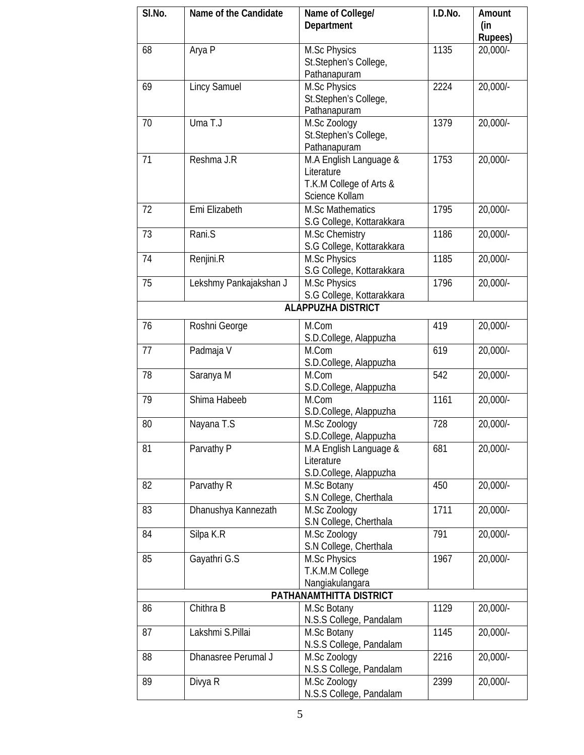| SI.No.                    | Name of the Candidate  | Name of College/          | I.D.No. | Amount                |  |
|---------------------------|------------------------|---------------------------|---------|-----------------------|--|
|                           |                        | Department                |         | (in                   |  |
|                           |                        |                           |         | <b>Rupees)</b>        |  |
| 68                        | Arya P                 | <b>M.Sc Physics</b>       | 1135    | 20,000/-              |  |
|                           |                        | St.Stephen's College,     |         |                       |  |
|                           |                        | Pathanapuram              |         |                       |  |
| 69                        | <b>Lincy Samuel</b>    | M.Sc Physics              | 2224    | $20,000/-$            |  |
|                           |                        | St.Stephen's College,     |         |                       |  |
|                           |                        | Pathanapuram              |         |                       |  |
| 70                        | Uma T.J                | M.Sc Zoology              | 1379    | $20,000/-$            |  |
|                           |                        | St.Stephen's College,     |         |                       |  |
|                           |                        | Pathanapuram              |         |                       |  |
| 71                        | Reshma J.R             | M.A English Language &    | 1753    | 20,000/-              |  |
|                           |                        | Literature                |         |                       |  |
|                           |                        | T.K.M College of Arts &   |         |                       |  |
|                           |                        | Science Kollam            |         |                       |  |
| 72                        | Emi Elizabeth          | <b>M.Sc Mathematics</b>   | 1795    | 20,000/-              |  |
|                           |                        |                           |         |                       |  |
| 73                        |                        | S.G College, Kottarakkara | 1186    |                       |  |
|                           | Rani.S                 | M.Sc Chemistry            |         | 20,000/-              |  |
|                           |                        | S.G College, Kottarakkara |         |                       |  |
| 74                        | Renjini.R              | M.Sc Physics              | 1185    | 20,000/-              |  |
|                           |                        | S.G College, Kottarakkara |         |                       |  |
| 75                        | Lekshmy Pankajakshan J | <b>M.Sc Physics</b>       | 1796    | 20,000/-              |  |
|                           |                        | S.G College, Kottarakkara |         |                       |  |
| <b>ALAPPUZHA DISTRICT</b> |                        |                           |         |                       |  |
| 76                        | Roshni George          | M.Com                     | 419     | 20,000/-              |  |
|                           |                        | S.D.College, Alappuzha    |         |                       |  |
| 77                        | Padmaja V              | M.Com                     | 619     | 20,000/-              |  |
|                           |                        | S.D.College, Alappuzha    |         |                       |  |
| 78                        | Saranya M              | M.Com                     | 542     | $20,000/-$            |  |
|                           |                        | S.D.College, Alappuzha    |         |                       |  |
| 79                        | Shima Habeeb           | M.Com                     | 1161    | 20,000/-              |  |
|                           |                        |                           |         |                       |  |
|                           |                        | S.D.College, Alappuzha    |         |                       |  |
| 80                        | Nayana T.S             | M.Sc Zoology              | 728     | $20,000/-$            |  |
|                           |                        | S.D.College, Alappuzha    |         |                       |  |
| 81                        | Parvathy P             | M.A English Language &    | 681     | $20,000/-$            |  |
|                           |                        | Literature                |         |                       |  |
|                           |                        | S.D.College, Alappuzha    |         |                       |  |
| 82                        | Parvathy R             | M.Sc Botany               | 450     | $20,000/-$            |  |
|                           |                        | S.N College, Cherthala    |         |                       |  |
| 83                        | Dhanushya Kannezath    | M.Sc Zoology              | 1711    | 20,000/-              |  |
|                           |                        | S.N College, Cherthala    |         |                       |  |
| 84                        | Silpa K.R              | M.Sc Zoology              | 791     | $20,000$ <sup>-</sup> |  |
|                           |                        | S.N College, Cherthala    |         |                       |  |
| 85                        | Gayathri G.S           | <b>M.Sc Physics</b>       | 1967    | $20,000/-$            |  |
|                           |                        | T.K.M.M College           |         |                       |  |
|                           |                        | Nangiakulangara           |         |                       |  |
| PATHANAMTHITTA DISTRICT   |                        |                           |         |                       |  |
| 86                        | Chithra B              | M.Sc Botany               | 1129    | 20,000/-              |  |
|                           |                        | N.S.S College, Pandalam   |         |                       |  |
| 87                        | Lakshmi S.Pillai       | M.Sc Botany               | 1145    | $20,000/-$            |  |
|                           |                        | N.S.S College, Pandalam   |         |                       |  |
| 88                        | Dhanasree Perumal J    | M.Sc Zoology              | 2216    | 20,000/-              |  |
|                           |                        | N.S.S College, Pandalam   |         |                       |  |
| 89                        | Divya R                | M.Sc Zoology              | 2399    | 20,000/-              |  |
|                           |                        | N.S.S College, Pandalam   |         |                       |  |
|                           |                        |                           |         |                       |  |